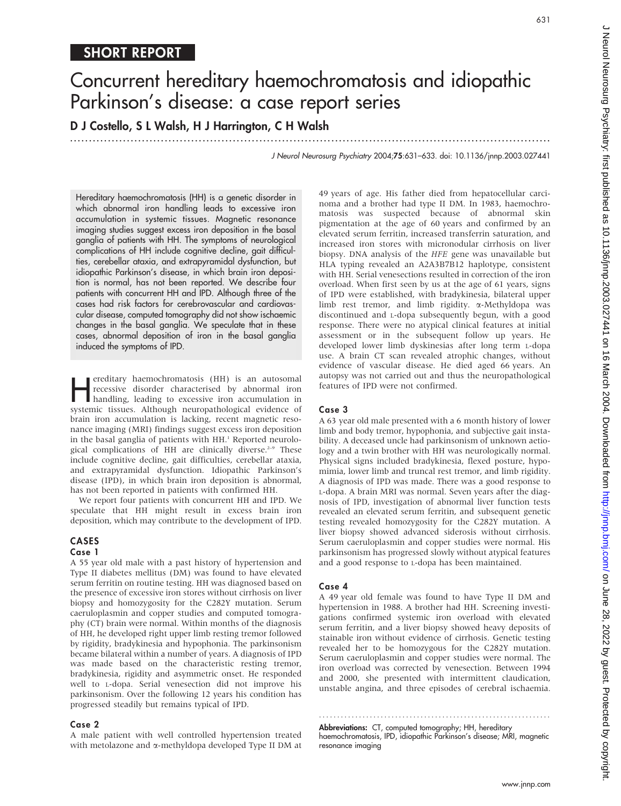.............................................................................................................................. .

D J Costello, S L Walsh, H J Harrington, C H Walsh

J Neurol Neurosurg Psychiatry 2004;75:631–633. doi: 10.1136/jnnp.2003.027441

Hereditary haemochromatosis (HH) is a genetic disorder in which abnormal iron handling leads to excessive iron accumulation in systemic tissues. Magnetic resonance imaging studies suggest excess iron deposition in the basal ganglia of patients with HH. The symptoms of neurological complications of HH include cognitive decline, gait difficulties, cerebellar ataxia, and extrapyramidal dysfunction, but idiopathic Parkinson's disease, in which brain iron deposition is normal, has not been reported. We describe four patients with concurrent HH and IPD. Although three of the cases had risk factors for cerebrovascular and cardiovascular disease, computed tomography did not show ischaemic changes in the basal ganglia. We speculate that in these cases, abnormal deposition of iron in the basal ganglia induced the symptoms of IPD.

**Hereditary haemochromatosis (HH) is an autosomal**<br>recessive disorder characterised by abnormal iron<br>handling, leading to excessive iron accumulation in<br>systemic tissues. Although neuropathological evidence of recessive disorder characterised by abnormal iron systemic tissues. Although neuropathological evidence of brain iron accumulation is lacking, recent magnetic resonance imaging (MRI) findings suggest excess iron deposition in the basal ganglia of patients with HH.<sup>1</sup> Reported neurological complications of HH are clinically diverse.<sup>2-9</sup> These include cognitive decline, gait difficulties, cerebellar ataxia, and extrapyramidal dysfunction. Idiopathic Parkinson's disease (IPD), in which brain iron deposition is abnormal, has not been reported in patients with confirmed HH.

We report four patients with concurrent HH and IPD. We speculate that HH might result in excess brain iron deposition, which may contribute to the development of IPD.

# CASES

## Case 1

A 55 year old male with a past history of hypertension and Type II diabetes mellitus (DM) was found to have elevated serum ferritin on routine testing. HH was diagnosed based on the presence of excessive iron stores without cirrhosis on liver biopsy and homozygosity for the C282Y mutation. Serum caeruloplasmin and copper studies and computed tomography (CT) brain were normal. Within months of the diagnosis of HH, he developed right upper limb resting tremor followed by rigidity, bradykinesia and hypophonia. The parkinsonism became bilateral within a number of years. A diagnosis of IPD was made based on the characteristic resting tremor, bradykinesia, rigidity and asymmetric onset. He responded well to L-dopa. Serial venesection did not improve his parkinsonism. Over the following 12 years his condition has progressed steadily but remains typical of IPD.

## Case 2

A male patient with well controlled hypertension treated with metolazone and a-methyldopa developed Type II DM at 49 years of age. His father died from hepatocellular carcinoma and a brother had type II DM. In 1983, haemochromatosis was suspected because of abnormal skin pigmentation at the age of 60 years and confirmed by an elevated serum ferritin, increased transferrin saturation, and increased iron stores with micronodular cirrhosis on liver biopsy. DNA analysis of the HFE gene was unavailable but HLA typing revealed an A2A3B7B12 haplotype, consistent with HH. Serial venesections resulted in correction of the iron overload. When first seen by us at the age of 61 years, signs of IPD were established, with bradykinesia, bilateral upper limb rest tremor, and limb rigidity. a-Methyldopa was discontinued and L-dopa subsequently begun, with a good response. There were no atypical clinical features at initial assessment or in the subsequent follow up years. He developed lower limb dyskinesias after long term L-dopa use. A brain CT scan revealed atrophic changes, without evidence of vascular disease. He died aged 66 years. An autopsy was not carried out and thus the neuropathological features of IPD were not confirmed.

# Case 3

A 63 year old male presented with a 6 month history of lower limb and body tremor, hypophonia, and subjective gait instability. A deceased uncle had parkinsonism of unknown aetiology and a twin brother with HH was neurologically normal. Physical signs included bradykinesia, flexed posture, hypomimia, lower limb and truncal rest tremor, and limb rigidity. A diagnosis of IPD was made. There was a good response to L-dopa. A brain MRI was normal. Seven years after the diagnosis of IPD, investigation of abnormal liver function tests revealed an elevated serum ferritin, and subsequent genetic testing revealed homozygosity for the C282Y mutation. A liver biopsy showed advanced siderosis without cirrhosis. Serum caeruloplasmin and copper studies were normal. His parkinsonism has progressed slowly without atypical features and a good response to L-dopa has been maintained.

# Case 4

A 49 year old female was found to have Type II DM and hypertension in 1988. A brother had HH. Screening investigations confirmed systemic iron overload with elevated serum ferritin, and a liver biopsy showed heavy deposits of stainable iron without evidence of cirrhosis. Genetic testing revealed her to be homozygous for the C282Y mutation. Serum caeruloplasmin and copper studies were normal. The iron overload was corrected by venesection. Between 1994 and 2000, she presented with intermittent claudication, unstable angina, and three episodes of cerebral ischaemia.

Abbreviations: CT, computed tomography; HH, hereditary haemochromatosis, IPD, idiopathic Parkinson's disease; MRI, magnetic resonance imaging

............................................................... .

631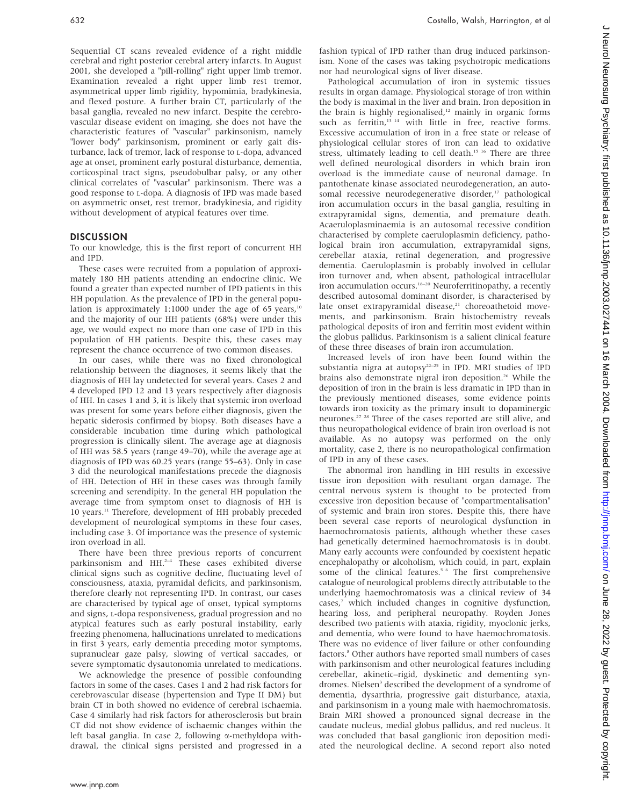Sequential CT scans revealed evidence of a right middle cerebral and right posterior cerebral artery infarcts. In August 2001, she developed a "pill-rolling" right upper limb tremor. Examination revealed a right upper limb rest tremor, asymmetrical upper limb rigidity, hypomimia, bradykinesia, and flexed posture. A further brain CT, particularly of the basal ganglia, revealed no new infarct. Despite the cerebrovascular disease evident on imaging, she does not have the characteristic features of "vascular" parkinsonism, namely "lower body" parkinsonism, prominent or early gait disturbance, lack of tremor, lack of response to L-dopa, advanced age at onset, prominent early postural disturbance, dementia, corticospinal tract signs, pseudobulbar palsy, or any other clinical correlates of "vascular" parkinsonism. There was a good response to L-dopa. A diagnosis of IPD was made based on asymmetric onset, rest tremor, bradykinesia, and rigidity without development of atypical features over time.

#### **DISCUSSION**

To our knowledge, this is the first report of concurrent HH and IPD.

These cases were recruited from a population of approximately 180 HH patients attending an endocrine clinic. We found a greater than expected number of IPD patients in this HH population. As the prevalence of IPD in the general population is approximately 1:1000 under the age of 65 years, $10<sup>10</sup>$ and the majority of our HH patients (68%) were under this age, we would expect no more than one case of IPD in this population of HH patients. Despite this, these cases may represent the chance occurrence of two common diseases.

In our cases, while there was no fixed chronological relationship between the diagnoses, it seems likely that the diagnosis of HH lay undetected for several years. Cases 2 and 4 developed IPD 12 and 13 years respectively after diagnosis of HH. In cases 1 and 3, it is likely that systemic iron overload was present for some years before either diagnosis, given the hepatic siderosis confirmed by biopsy. Both diseases have a considerable incubation time during which pathological progression is clinically silent. The average age at diagnosis of HH was 58.5 years (range 49–70), while the average age at diagnosis of IPD was 60.25 years (range 55–63). Only in case 3 did the neurological manifestations precede the diagnosis of HH. Detection of HH in these cases was through family screening and serendipity. In the general HH population the average time from symptom onset to diagnosis of HH is 10 years.11 Therefore, development of HH probably preceded development of neurological symptoms in these four cases, including case 3. Of importance was the presence of systemic iron overload in all.

There have been three previous reports of concurrent parkinsonism and  $HH<sup>2-4</sup>$  These cases exhibited diverse clinical signs such as cognitive decline, fluctuating level of consciousness, ataxia, pyramidal deficits, and parkinsonism, therefore clearly not representing IPD. In contrast, our cases are characterised by typical age of onset, typical symptoms and signs, L-dopa responsiveness, gradual progression and no atypical features such as early postural instability, early freezing phenomena, hallucinations unrelated to medications in first 3 years, early dementia preceding motor symptoms, supranuclear gaze palsy, slowing of vertical saccades, or severe symptomatic dysautonomia unrelated to medications.

We acknowledge the presence of possible confounding factors in some of the cases. Cases 1 and 2 had risk factors for cerebrovascular disease (hypertension and Type II DM) but brain CT in both showed no evidence of cerebral ischaemia. Case 4 similarly had risk factors for atherosclerosis but brain CT did not show evidence of ischaemic changes within the left basal ganglia. In case 2, following  $\alpha$ -methyldopa withdrawal, the clinical signs persisted and progressed in a fashion typical of IPD rather than drug induced parkinsonism. None of the cases was taking psychotropic medications nor had neurological signs of liver disease.

Pathological accumulation of iron in systemic tissues results in organ damage. Physiological storage of iron within the body is maximal in the liver and brain. Iron deposition in the brain is highly regionalised, $12$  mainly in organic forms such as ferritin,<sup>13 14</sup> with little in free, reactive forms. Excessive accumulation of iron in a free state or release of physiological cellular stores of iron can lead to oxidative stress, ultimately leading to cell death.<sup>15 16</sup> There are three well defined neurological disorders in which brain iron overload is the immediate cause of neuronal damage. In pantothenate kinase associated neurodegeneration, an autosomal recessive neurodegenerative disorder,<sup>17</sup> pathological iron accumulation occurs in the basal ganglia, resulting in extrapyramidal signs, dementia, and premature death. Acaeruloplasminaemia is an autosomal recessive condition characterised by complete caeruloplasmin deficiency, pathological brain iron accumulation, extrapyramidal signs, cerebellar ataxia, retinal degeneration, and progressive dementia. Caeruloplasmin is probably involved in cellular iron turnover and, when absent, pathological intracellular iron accumulation occurs.<sup>18-20</sup> Neuroferritinopathy, a recently described autosomal dominant disorder, is characterised by late onset extrapyramidal disease,<sup>21</sup> choreoathetoid movements, and parkinsonism. Brain histochemistry reveals pathological deposits of iron and ferritin most evident within the globus pallidus. Parkinsonism is a salient clinical feature of these three diseases of brain iron accumulation.

Increased levels of iron have been found within the substantia nigra at autopsy<sup>22-25</sup> in IPD. MRI studies of IPD brains also demonstrate nigral iron deposition.<sup>26</sup> While the deposition of iron in the brain is less dramatic in IPD than in the previously mentioned diseases, some evidence points towards iron toxicity as the primary insult to dopaminergic neurones.27 28 Three of the cases reported are still alive, and thus neuropathological evidence of brain iron overload is not available. As no autopsy was performed on the only mortality, case 2, there is no neuropathological confirmation of IPD in any of these cases.

The abnormal iron handling in HH results in excessive tissue iron deposition with resultant organ damage. The central nervous system is thought to be protected from excessive iron deposition because of "compartmentalisation" of systemic and brain iron stores. Despite this, there have been several case reports of neurological dysfunction in haemochromatosis patients, although whether these cases had genetically determined haemochromatosis is in doubt. Many early accounts were confounded by coexistent hepatic encephalopathy or alcoholism, which could, in part, explain some of the clinical features.<sup>5 6</sup> The first comprehensive catalogue of neurological problems directly attributable to the underlying haemochromatosis was a clinical review of 34 cases,<sup>7</sup> which included changes in cognitive dysfunction, hearing loss, and peripheral neuropathy. Royden Jones described two patients with ataxia, rigidity, myoclonic jerks, and dementia, who were found to have haemochromatosis. There was no evidence of liver failure or other confounding factors.<sup>8</sup> Other authors have reported small numbers of cases with parkinsonism and other neurological features including cerebellar, akinetic–rigid, dyskinetic and dementing syndromes. Nielsen<sup>3</sup> described the development of a syndrome of dementia, dysarthria, progressive gait disturbance, ataxia, and parkinsonism in a young male with haemochromatosis. Brain MRI showed a pronounced signal decrease in the caudate nucleus, medial globus pallidus, and red nucleus. It was concluded that basal ganglionic iron deposition mediated the neurological decline. A second report also noted

 $\subset$